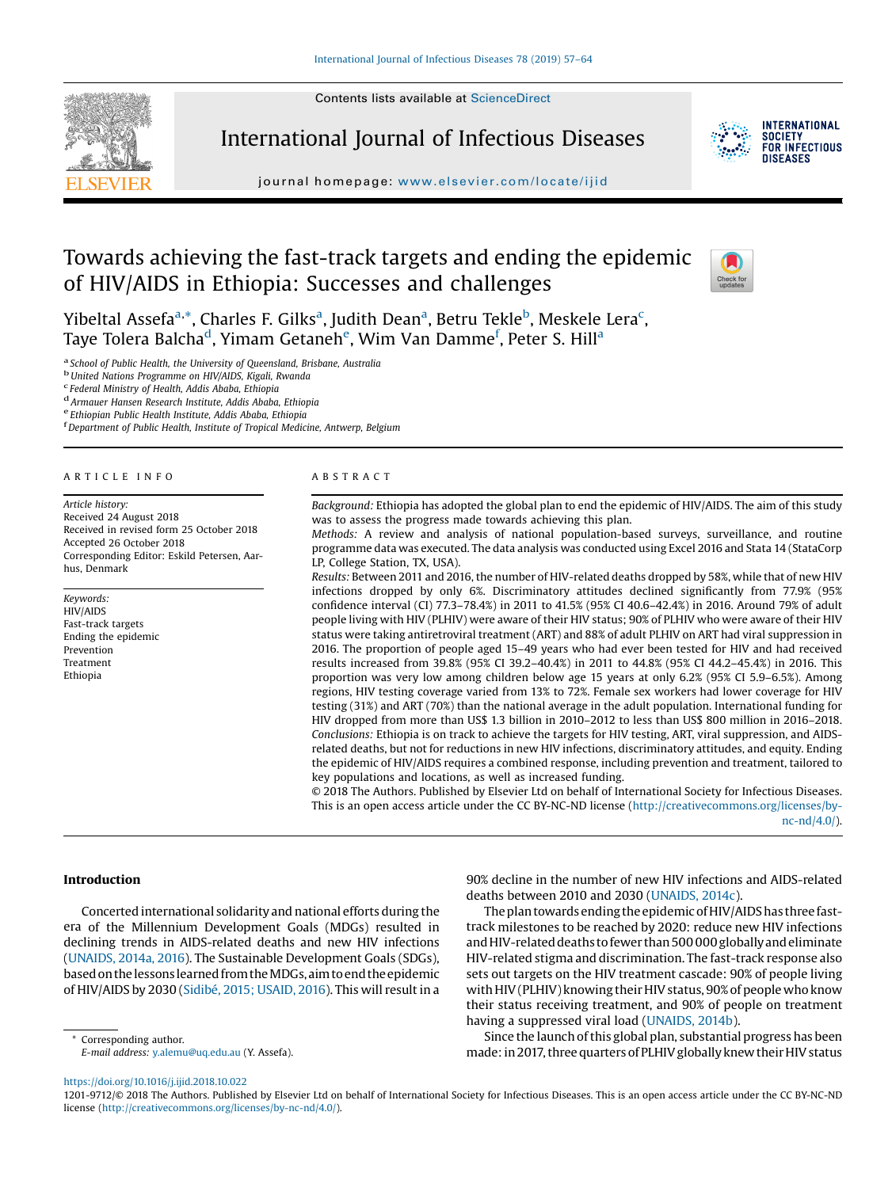Contents lists available at [ScienceDirect](http://www.sciencedirect.com/science/journal/12019712)



International Journal of Infectious Diseases



**INTERNATIONAL SOCIETY** FOR INFECTIOUS **DISFASES** 

journal homepage: <www.elsevier.com/locate/ijid>

# Towards achieving the fast-track targets and ending the epidemic of HIV/AIDS in Ethiopia: Successes and challenges



Yibeltal Assefa<sup>a,</sup>\*, Charles F. Gilks<sup>a</sup>, Judith Dean<sup>a</sup>, Betru Tekle<sup>b</sup>, Meskele Lera<sup>c</sup>, Taye Tolera Balcha<sup>d</sup>, Yimam Getaneh<sup>e</sup>, Wim Van Damme<sup>f</sup>, Peter S. Hill<sup>a</sup>

<sup>a</sup> School of Public Health, the University of Queensland, Brisbane, Australia b<br>United Nations Programme on HIV/AIDS, Kigali, Rwanda charala chara chara chara chara chara charal charal chara<br>charal Ministry of Health, Ad

 $F<sup>d</sup>$  Armauer Hansen Research Institute, Addis Ababa, Ethiopia e<br>Ethiopian Public Health Institute, Addis Ababa, Ethiopia

Department of Public Health, Institute of Tropical Medicine, Antwerp, Belgium

#### A R T I C L E I N F O

Article history: Received 24 August 2018 Received in revised form 25 October 2018 Accepted 26 October 2018 Corresponding Editor: Eskild Petersen, Aarhus, Denmark

Keywords: HIV/AIDS Fast-track targets Ending the epidemic Prevention Treatment Ethiopia

#### A B S T R A C T

Background: Ethiopia has adopted the global plan to end the epidemic of HIV/AIDS. The aim of this study was to assess the progress made towards achieving this plan.

Methods: A review and analysis of national population-based surveys, surveillance, and routine programme data was executed. The data analysis was conducted using Excel 2016 and Stata 14 (StataCorp LP, College Station, TX, USA).

Results: Between 2011 and 2016, the number of HIV-related deaths dropped by 58%, while that of new HIV infections dropped by only 6%. Discriminatory attitudes declined significantly from 77.9% (95% confidence interval (CI) 77.3–78.4%) in 2011 to 41.5% (95% CI 40.6–42.4%) in 2016. Around 79% of adult people living with HIV (PLHIV) were aware of their HIV status; 90% of PLHIV who were aware of their HIV status were taking antiretroviral treatment (ART) and 88% of adult PLHIV on ART had viral suppression in 2016. The proportion of people aged 15–49 years who had ever been tested for HIV and had received results increased from 39.8% (95% CI 39.2–40.4%) in 2011 to 44.8% (95% CI 44.2–45.4%) in 2016. This proportion was very low among children below age 15 years at only 6.2% (95% CI 5.9–6.5%). Among regions, HIV testing coverage varied from 13% to 72%. Female sex workers had lower coverage for HIV testing (31%) and ART (70%) than the national average in the adult population. International funding for HIV dropped from more than US\$ 1.3 billion in 2010–2012 to less than US\$ 800 million in 2016–2018. Conclusions: Ethiopia is on track to achieve the targets for HIV testing, ART, viral suppression, and AIDSrelated deaths, but not for reductions in new HIV infections, discriminatory attitudes, and equity. Ending the epidemic of HIV/AIDS requires a combined response, including prevention and treatment, tailored to key populations and locations, as well as increased funding.

© 2018 The Authors. Published by Elsevier Ltd on behalf of International Society for Infectious Diseases. This is an open access article under the CC BY-NC-ND license ([http://creativecommons.org/licenses/by](http://creativecommons.org/licenses/by-nc-nd/4.0/)[nc-nd/4.0/](http://creativecommons.org/licenses/by-nc-nd/4.0/)).

#### Introduction

Concerted international solidarity and national efforts during the era of the Millennium Development Goals (MDGs) resulted in declining trends in AIDS-related deaths and new HIV infections ([UNAIDS,](#page-6-0) 2014a, 2016). The Sustainable Development Goals (SDGs), basedon thelessonslearned from theMDGs,aimto end the epidemic of HIV/AIDS by 2030 (Sidibé, 2015; [USAID,](#page-6-0) 2016). This will resultin a

Corresponding author. E-mail address: [y.alemu@uq.edu.au](mailto:y.alemu@uq.edu.au) (Y. Assefa). 90% decline in the number of new HIV infections and AIDS-related deaths between 2010 and 2030 ([UNAIDS,](#page-6-0) 2014c).

The plan towards ending the epidemic of HIV/AIDS has three fasttrack milestones to be reached by 2020: reduce new HIV infections andHIV-related deaths to fewer than 500 000globally andeliminate HIV-related stigma and discrimination. The fast-track response also sets out targets on the HIV treatment cascade: 90% of people living with HIV (PLHIV) knowing their HIV status, 90% of people who know their status receiving treatment, and 90% of people on treatment having a suppressed viral load [\(UNAIDS,](#page-6-0) 2014b).

Since the launch of this global plan, substantial progress has been made: in 2017, three quarters of PLHIV globally knew their HIV status

<https://doi.org/10.1016/j.ijid.2018.10.022>

1201-9712/© 2018 The Authors. Published by Elsevier Ltd on behalf of International Society for Infectious Diseases. This is an open access article under the CC BY-NC-ND license [\(http://creativecommons.org/licenses/by-nc-nd/4.0/\)](http://creativecommons.org/licenses/by-nc-nd/4.0/).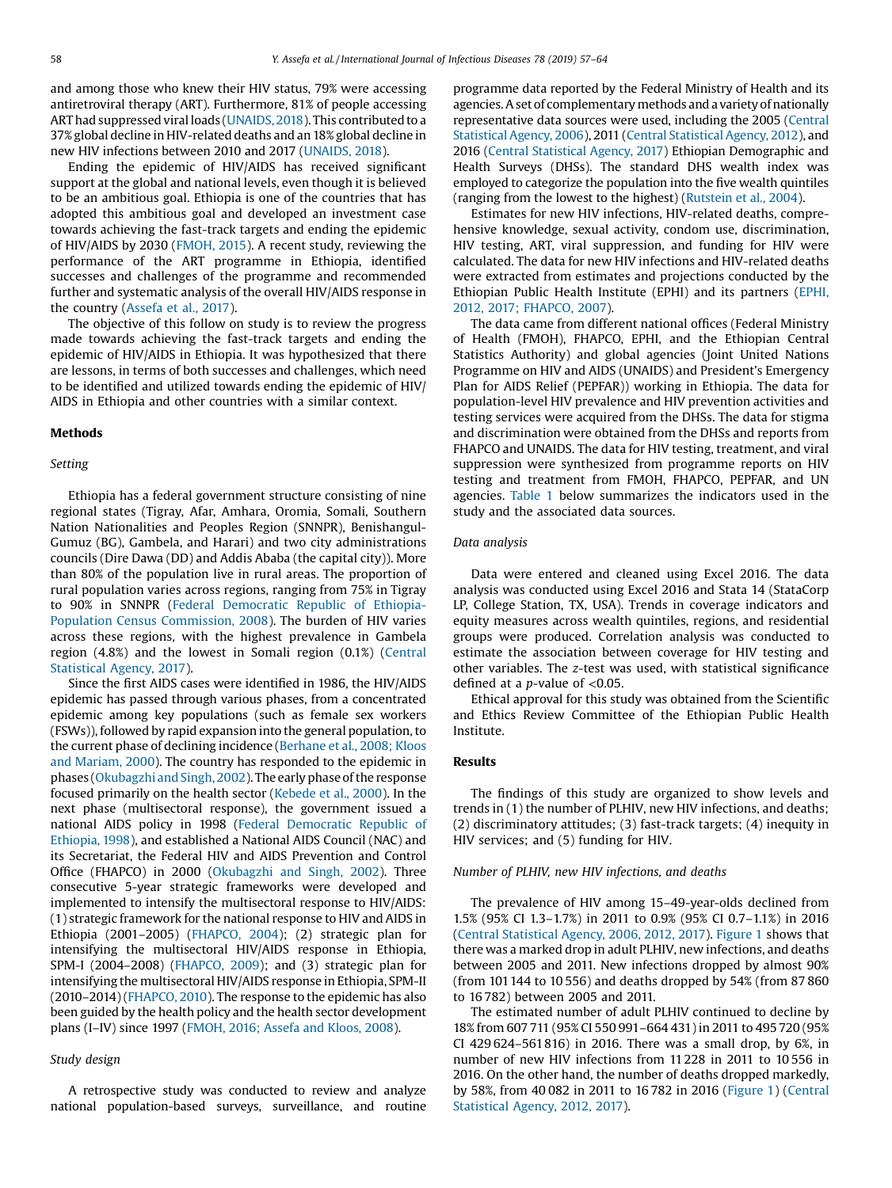and among those who knew their HIV status, 79% were accessing antiretroviral therapy (ART). Furthermore, 81% of people accessing ART had suppressed viral loads (UNAIDS, 2018). This contributed to a 37%global decline in HIV-related deaths and an 18% global decline in new HIV infections between 2010 and 2017 [\(UNAIDS,](#page-7-0) 2018).

Ending the epidemic of HIV/AIDS has received significant support at the global and national levels, even though it is believed to be an ambitious goal. Ethiopia is one of the countries that has adopted this ambitious goal and developed an investment case towards achieving the fast-track targets and ending the epidemic of HIV/AIDS by 2030 ([FMOH,](#page-6-0) 2015). A recent study, reviewing the performance of the ART programme in Ethiopia, identified successes and challenges of the programme and recommended further and systematic analysis of the overall HIV/AIDS response in the country [\(Assefa](#page-6-0) et al., 2017).

The objective of this follow on study is to review the progress made towards achieving the fast-track targets and ending the epidemic of HIV/AIDS in Ethiopia. It was hypothesized that there are lessons, in terms of both successes and challenges, which need to be identified and utilized towards ending the epidemic of HIV/ AIDS in Ethiopia and other countries with a similar context.

#### Methods

#### Setting

Ethiopia has a federal government structure consisting of nine regional states (Tigray, Afar, Amhara, Oromia, Somali, Southern Nation Nationalities and Peoples Region (SNNPR), Benishangul-Gumuz (BG), Gambela, and Harari) and two city administrations councils (Dire Dawa (DD) and Addis Ababa (the capital city)). More than 80% of the population live in rural areas. The proportion of rural population varies across regions, ranging from 75% in Tigray to 90% in SNNPR (Federal [Democratic](#page-6-0) Republic of Ethiopia-Population Census [Commission,](#page-6-0) 2008). The burden of HIV varies across these regions, with the highest prevalence in Gambela region (4.8%) and the lowest in Somali region (0.1%) [\(Central](#page-6-0) [Statistical](#page-6-0) Agency, 2017).

Since the first AIDS cases were identified in 1986, the HIV/AIDS epidemic has passed through various phases, from a concentrated epidemic among key populations (such as female sex workers (FSWs)), followed by rapid expansion into the general population, to the current phase of declining incidence ([Berhane](#page-6-0) et al., 2008; Kloos and [Mariam,](#page-6-0) 2000). The country has responded to the epidemic in phases (Okubagzhi and Singh, 2002). The early phase of the response focused primarily on the health sector [\(Kebede](#page-6-0) et al., 2000). In the next phase (multisectoral response), the government issued a national AIDS policy in 1998 (Federal [Democratic](#page-6-0) Republic of [Ethiopia,](#page-6-0) 1998), and established a National AIDS Council (NAC) and its Secretariat, the Federal HIV and AIDS Prevention and Control Office (FHAPCO) in 2000 [\(Okubagzhi](#page-6-0) and Singh, 2002). Three consecutive 5-year strategic frameworks were developed and implemented to intensify the multisectoral response to HIV/AIDS: (1) strategic framework for the national response to HIV and AIDS in Ethiopia (2001–2005) [\(FHAPCO,](#page-6-0) 2004); (2) strategic plan for intensifying the multisectoral HIV/AIDS response in Ethiopia, SPM-I (2004–2008) ([FHAPCO,](#page-6-0) 2009); and (3) strategic plan for intensifying the multisectoral HIV/AIDS response in Ethiopia, SPM-II (2010–2014) [\(FHAPCO,](#page-6-0) 2010). The response to the epidemic has also been guided by the health policy and the health sector development plans (I–IV) since 1997 ([FMOH,](#page-6-0) 2016; Assefa and Kloos, 2008).

## Study design

A retrospective study was conducted to review and analyze national population-based surveys, surveillance, and routine programme data reported by the Federal Ministry of Health and its agencies. A set of complementary methods and a variety of nationally representative data sources were used, including the 2005 ([Central](#page-6-0) [Statistical](#page-6-0) Agency, 2006), 2011 (Central Statistical Agency, 2012), and 2016 (Central [Statistical](#page-6-0) Agency, 2017) Ethiopian Demographic and Health Surveys (DHSs). The standard DHS wealth index was employed to categorize the population into the five wealth quintiles (ranging from the lowest to the highest) [\(Rutstein](#page-6-0) et al., 2004).

Estimates for new HIV infections, HIV-related deaths, comprehensive knowledge, sexual activity, condom use, discrimination, HIV testing, ART, viral suppression, and funding for HIV were calculated. The data for new HIV infections and HIV-related deaths were extracted from estimates and projections conducted by the Ethiopian Public Health Institute (EPHI) and its partners ([EPHI,](#page-6-0) 2012, 2017; [FHAPCO,](#page-6-0) 2007).

The data came from different national offices (Federal Ministry of Health (FMOH), FHAPCO, EPHI, and the Ethiopian Central Statistics Authority) and global agencies (Joint United Nations Programme on HIV and AIDS (UNAIDS) and President's Emergency Plan for AIDS Relief (PEPFAR)) working in Ethiopia. The data for population-level HIV prevalence and HIV prevention activities and testing services were acquired from the DHSs. The data for stigma and discrimination were obtained from the DHSs and reports from FHAPCO and UNAIDS. The data for HIV testing, treatment, and viral suppression were synthesized from programme reports on HIV testing and treatment from FMOH, FHAPCO, PEPFAR, and UN agencies. [Table](#page-2-0) 1 below summarizes the indicators used in the study and the associated data sources.

# Data analysis

Data were entered and cleaned using Excel 2016. The data analysis was conducted using Excel 2016 and Stata 14 (StataCorp LP, College Station, TX, USA). Trends in coverage indicators and equity measures across wealth quintiles, regions, and residential groups were produced. Correlation analysis was conducted to estimate the association between coverage for HIV testing and other variables. The z-test was used, with statistical significance defined at a  $p$ -value of  $<$ 0.05.

Ethical approval for this study was obtained from the Scientific and Ethics Review Committee of the Ethiopian Public Health Institute.

## Results

The findings of this study are organized to show levels and trends in (1) the number of PLHIV, new HIV infections, and deaths; (2) discriminatory attitudes; (3) fast-track targets; (4) inequity in HIV services; and (5) funding for HIV.

### Number of PLHIV, new HIV infections, and deaths

The prevalence of HIV among 15–49-year-olds declined from 1.5% (95% CI 1.3–1.7%) in 2011 to 0.9% (95% CI 0.7–1.1%) in 2016 (Central [Statistical](#page-6-0) Agency, 2006, 2012, 2017). [Figure](#page-2-0) 1 shows that there was a marked drop in adult PLHIV, new infections, and deaths between 2005 and 2011. New infections dropped by almost 90% (from 101144 to 10 556) and deaths dropped by 54% (from 87 860 to 16 782) between 2005 and 2011.

The estimated number of adult PLHIV continued to decline by 18% from 607 711 (95% CI 550 991–664 431) in 2011 to 495720 (95% CI 429 624–561816) in 2016. There was a small drop, by 6%, in number of new HIV infections from 11228 in 2011 to 10 556 in 2016. On the other hand, the number of deaths dropped markedly, by 58%, from 40 082 in 2011 to 16 782 in 2016 ([Figure](#page-2-0) 1) [\(Central](#page-6-0) [Statistical](#page-6-0) Agency, 2012, 2017).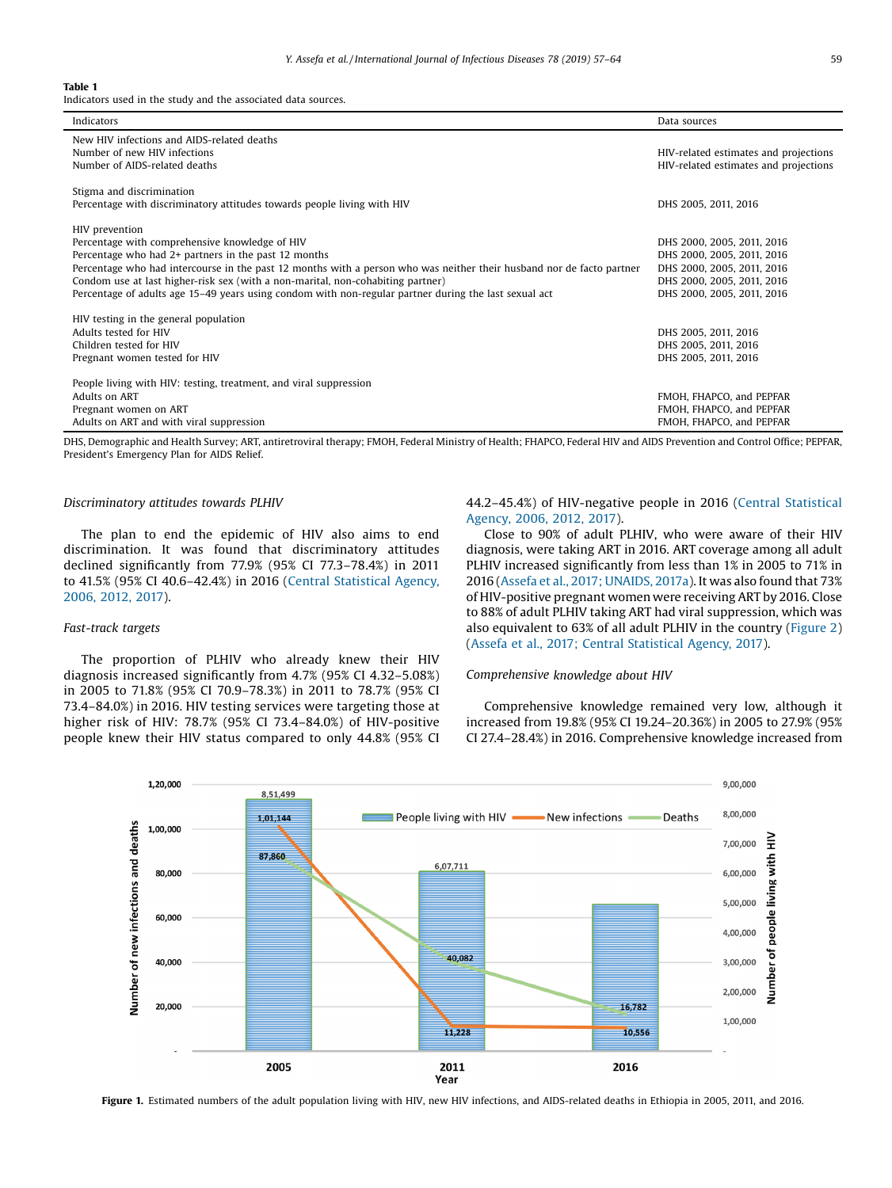#### <span id="page-2-0"></span>Table 1

Indicators used in the study and the associated data sources.

| Indicators                                                                                                                                                                                                                                                                                                                                                                                                                                    | Data sources                                                                                                                                       |
|-----------------------------------------------------------------------------------------------------------------------------------------------------------------------------------------------------------------------------------------------------------------------------------------------------------------------------------------------------------------------------------------------------------------------------------------------|----------------------------------------------------------------------------------------------------------------------------------------------------|
| New HIV infections and AIDS-related deaths<br>Number of new HIV infections<br>Number of AIDS-related deaths                                                                                                                                                                                                                                                                                                                                   | HIV-related estimates and projections<br>HIV-related estimates and projections                                                                     |
| Stigma and discrimination<br>Percentage with discriminatory attitudes towards people living with HIV                                                                                                                                                                                                                                                                                                                                          | DHS 2005, 2011, 2016                                                                                                                               |
| HIV prevention<br>Percentage with comprehensive knowledge of HIV<br>Percentage who had 2+ partners in the past 12 months<br>Percentage who had intercourse in the past 12 months with a person who was neither their husband nor de facto partner<br>Condom use at last higher-risk sex (with a non-marital, non-cohabiting partner)<br>Percentage of adults age 15–49 years using condom with non-regular partner during the last sexual act | DHS 2000, 2005, 2011, 2016<br>DHS 2000, 2005, 2011, 2016<br>DHS 2000, 2005, 2011, 2016<br>DHS 2000, 2005, 2011, 2016<br>DHS 2000, 2005, 2011, 2016 |
| HIV testing in the general population<br>Adults tested for HIV<br>Children tested for HIV<br>Pregnant women tested for HIV                                                                                                                                                                                                                                                                                                                    | DHS 2005, 2011, 2016<br>DHS 2005, 2011, 2016<br>DHS 2005, 2011, 2016                                                                               |
| People living with HIV: testing, treatment, and viral suppression<br>Adults on ART<br>Pregnant women on ART<br>Adults on ART and with viral suppression                                                                                                                                                                                                                                                                                       | FMOH, FHAPCO, and PEPFAR<br>FMOH, FHAPCO, and PEPFAR<br>FMOH, FHAPCO, and PEPFAR                                                                   |

DHS, Demographic and Health Survey; ART, antiretroviral therapy; FMOH, Federal Ministry of Health; FHAPCO, Federal HIV and AIDS Prevention and Control Office; PEPFAR, President's Emergency Plan for AIDS Relief.

## Discriminatory attitudes towards PLHIV

The plan to end the epidemic of HIV also aims to end discrimination. It was found that discriminatory attitudes declined significantly from 77.9% (95% CI 77.3–78.4%) in 2011 to 41.5% (95% CI 40.6–42.4%) in 2016 (Central [Statistical](#page-6-0) Agency, [2006,](#page-6-0) 2012, 2017).

## Fast-track targets

The proportion of PLHIV who already knew their HIV diagnosis increased significantly from 4.7% (95% CI 4.32–5.08%) in 2005 to 71.8% (95% CI 70.9–78.3%) in 2011 to 78.7% (95% CI 73.4–84.0%) in 2016. HIV testing services were targeting those at higher risk of HIV: 78.7% (95% CI 73.4–84.0%) of HIV-positive people knew their HIV status compared to only 44.8% (95% CI 44.2–45.4%) of HIV-negative people in 2016 (Central [Statistical](#page-6-0) [Agency,](#page-6-0) 2006, 2012, 2017).

Close to 90% of adult PLHIV, who were aware of their HIV diagnosis, were taking ART in 2016. ART coverage among all adult PLHIV increased significantly from less than 1% in 2005 to 71% in 2016 (Assefa et al., 2017; [UNAIDS,](#page-6-0) 2017a). It was also found that 73% of HIV-positive pregnant women were receiving ART by 2016. Close to 88% of adult PLHIV taking ART had viral suppression, which was also equivalent to 63% of all adult PLHIV in the country [\(Figure](#page-3-0) 2) (Assefa et al., 2017; Central [Statistical](#page-6-0) Agency, 2017).

## Comprehensive knowledge about HIV

Comprehensive knowledge remained very low, although it increased from 19.8% (95% CI 19.24–20.36%) in 2005 to 27.9% (95% CI 27.4–28.4%) in 2016. Comprehensive knowledge increased from



Figure 1. Estimated numbers of the adult population living with HIV, new HIV infections, and AIDS-related deaths in Ethiopia in 2005, 2011, and 2016.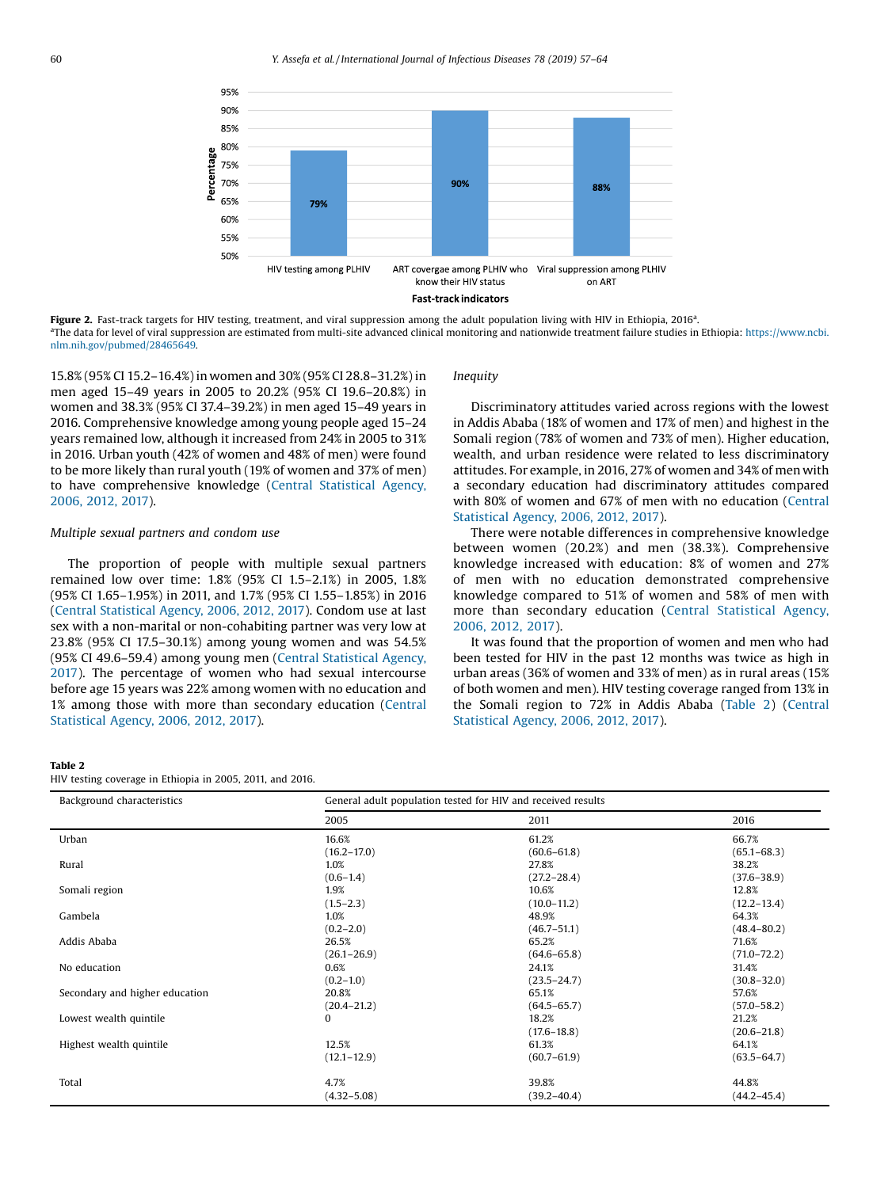<span id="page-3-0"></span>

Figure 2. Fast-track targets for HIV testing, treatment, and viral suppression among the adult population living with HIV in Ethiopia, 2016<sup>a</sup>. <sup>a</sup>The data for level of viral suppression are estimated from multi-site advanced clinical monitoring and nationwide treatment failure studies in Ethiopia: [https://www.ncbi.](https://www.ncbi.nlm.nih.gov/pubmed/28465649) [nlm.nih.gov/pubmed/28465649.](https://www.ncbi.nlm.nih.gov/pubmed/28465649)

15.8% (95% CI 15.2–16.4%) in women and 30% (95% CI 28.8–31.2%) in men aged 15–49 years in 2005 to 20.2% (95% CI 19.6–20.8%) in women and 38.3% (95% CI 37.4–39.2%) in men aged 15–49 years in 2016. Comprehensive knowledge among young people aged 15–24 years remained low, although it increased from 24% in 2005 to 31% in 2016. Urban youth (42% of women and 48% of men) were found to be more likely than rural youth (19% of women and 37% of men) to have comprehensive knowledge (Central [Statistical](#page-6-0) Agency, [2006,](#page-6-0) 2012, 2017).

## Multiple sexual partners and condom use

The proportion of people with multiple sexual partners remained low over time: 1.8% (95% CI 1.5–2.1%) in 2005, 1.8% (95% CI 1.65–1.95%) in 2011, and 1.7% (95% CI 1.55–1.85%) in 2016 (Central [Statistical](#page-6-0) Agency, 2006, 2012, 2017). Condom use at last sex with a non-marital or non-cohabiting partner was very low at 23.8% (95% CI 17.5–30.1%) among young women and was 54.5% (95% CI 49.6–59.4) among young men (Central [Statistical](#page-6-0) Agency, [2017](#page-6-0)). The percentage of women who had sexual intercourse before age 15 years was 22% among women with no education and 1% among those with more than secondary education [\(Central](#page-6-0) [Statistical](#page-6-0) Agency, 2006, 2012, 2017).

# Inequity

Discriminatory attitudes varied across regions with the lowest in Addis Ababa (18% of women and 17% of men) and highest in the Somali region (78% of women and 73% of men). Higher education, wealth, and urban residence were related to less discriminatory attitudes. For example, in 2016, 27% of women and 34% of men with a secondary education had discriminatory attitudes compared with 80% of women and 67% of men with no education [\(Central](#page-6-0) [Statistical](#page-6-0) Agency, 2006, 2012, 2017).

There were notable differences in comprehensive knowledge between women (20.2%) and men (38.3%). Comprehensive knowledge increased with education: 8% of women and 27% of men with no education demonstrated comprehensive knowledge compared to 51% of women and 58% of men with more than secondary education (Central [Statistical](#page-6-0) Agency, [2006,](#page-6-0) 2012, 2017).

It was found that the proportion of women and men who had been tested for HIV in the past 12 months was twice as high in urban areas (36% of women and 33% of men) as in rural areas (15% of both women and men). HIV testing coverage ranged from 13% in the Somali region to 72% in Addis Ababa (Table 2) [\(Central](#page-6-0) [Statistical](#page-6-0) Agency, 2006, 2012, 2017).

#### Table 2

HIV testing coverage in Ethiopia in 2005, 2011, and 2016.

| Background characteristics     | General adult population tested for HIV and received results |                 |                 |
|--------------------------------|--------------------------------------------------------------|-----------------|-----------------|
|                                | 2005                                                         | 2011            | 2016            |
| Urban                          | 16.6%                                                        | 61.2%           | 66.7%           |
|                                | $(16.2 - 17.0)$                                              | $(60.6 - 61.8)$ | $(65.1 - 68.3)$ |
| Rural                          | 1.0%                                                         | 27.8%           | 38.2%           |
|                                | $(0.6 - 1.4)$                                                | $(27.2 - 28.4)$ | $(37.6 - 38.9)$ |
| Somali region                  | 1.9%                                                         | 10.6%           | 12.8%           |
|                                | $(1.5 - 2.3)$                                                | $(10.0 - 11.2)$ | $(12.2 - 13.4)$ |
| Gambela                        | 1.0%                                                         | 48.9%           | 64.3%           |
|                                | $(0.2 - 2.0)$                                                | $(46.7 - 51.1)$ | $(48.4 - 80.2)$ |
| Addis Ababa                    | 26.5%                                                        | 65.2%           | 71.6%           |
|                                | $(26.1 - 26.9)$                                              | $(64.6 - 65.8)$ | $(71.0 - 72.2)$ |
| No education                   | $0.6\%$                                                      | 24.1%           | 31.4%           |
|                                | $(0.2 - 1.0)$                                                | $(23.5 - 24.7)$ | $(30.8 - 32.0)$ |
| Secondary and higher education | 20.8%                                                        | 65.1%           | 57.6%           |
|                                | $(20.4 - 21.2)$                                              | $(64.5 - 65.7)$ | $(57.0 - 58.2)$ |
| Lowest wealth quintile         | $\mathbf{0}$                                                 | 18.2%           | 21.2%           |
|                                |                                                              | $(17.6 - 18.8)$ | $(20.6 - 21.8)$ |
| Highest wealth quintile        | 12.5%                                                        | 61.3%           | 64.1%           |
|                                | $(12.1 - 12.9)$                                              | $(60.7 - 61.9)$ | $(63.5 - 64.7)$ |
| Total                          | 4.7%                                                         | 39.8%           | 44.8%           |
|                                | $(4.32 - 5.08)$                                              | $(39.2 - 40.4)$ | $(44.2 - 45.4)$ |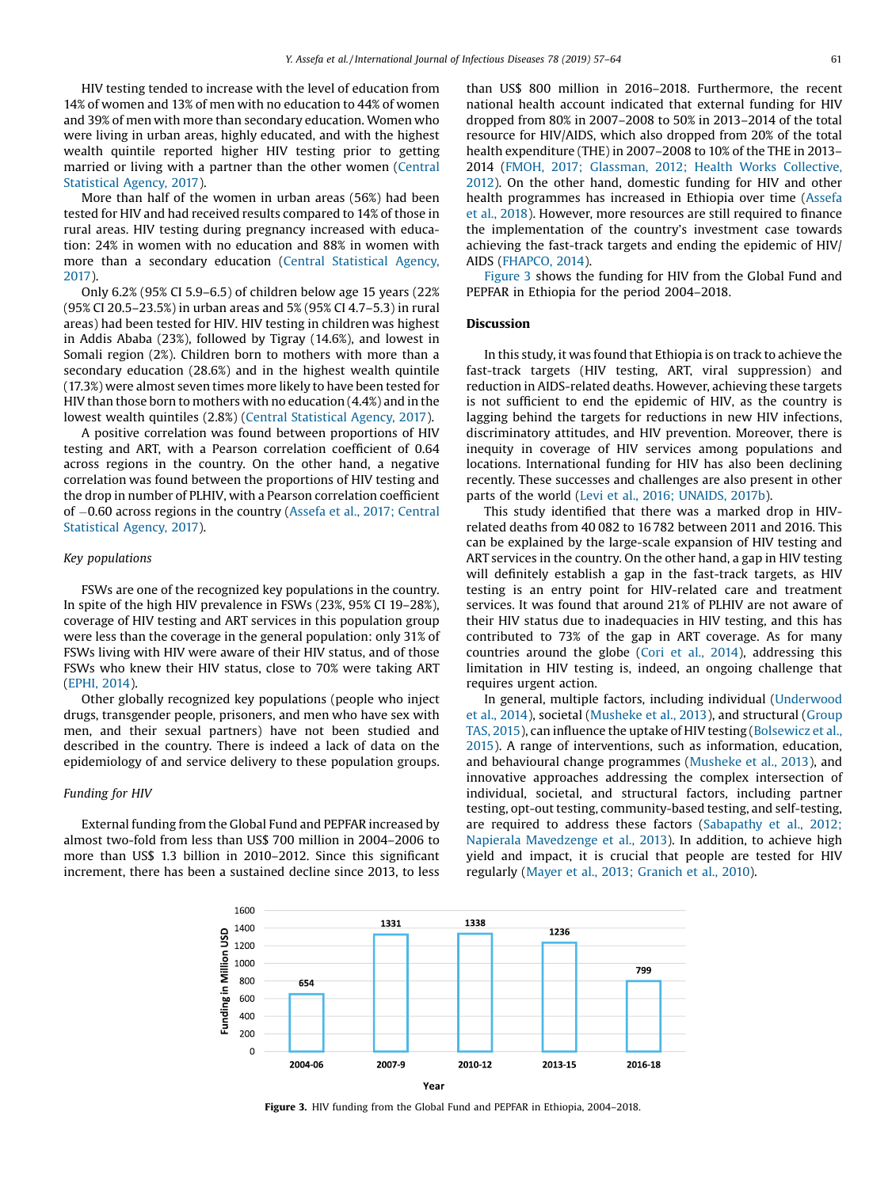HIV testing tended to increase with the level of education from 14% of women and 13% of men with no education to 44% of women and 39% of men with more than secondary education. Women who were living in urban areas, highly educated, and with the highest wealth quintile reported higher HIV testing prior to getting married or living with a partner than the other women [\(Central](#page-6-0) [Statistical](#page-6-0) Agency, 2017).

More than half of the women in urban areas (56%) had been tested for HIV and had received results compared to 14% of those in rural areas. HIV testing during pregnancy increased with education: 24% in women with no education and 88% in women with more than a secondary education (Central [Statistical](#page-6-0) Agency, [2017\)](#page-6-0).

Only 6.2% (95% CI 5.9–6.5) of children below age 15 years (22% (95% CI 20.5–23.5%) in urban areas and 5% (95% CI 4.7–5.3) in rural areas) had been tested for HIV. HIV testing in children was highest in Addis Ababa (23%), followed by Tigray (14.6%), and lowest in Somali region (2%). Children born to mothers with more than a secondary education (28.6%) and in the highest wealth quintile (17.3%) were almost seven times more likely to have been tested for HIV than those born to mothers with no education (4.4%) and in the lowest wealth quintiles (2.8%) (Central [Statistical](#page-6-0) Agency, 2017).

A positive correlation was found between proportions of HIV testing and ART, with a Pearson correlation coefficient of 0.64 across regions in the country. On the other hand, a negative correlation was found between the proportions of HIV testing and the drop in number of PLHIV, with a Pearson correlation coefficient of 0.60 across regions in the country (Assefa et al., 2017; [Central](#page-6-0) [Statistical](#page-6-0) Agency, 2017).

# Key populations

FSWs are one of the recognized key populations in the country. In spite of the high HIV prevalence in FSWs (23%, 95% CI 19–28%), coverage of HIV testing and ART services in this population group were less than the coverage in the general population: only 31% of FSWs living with HIV were aware of their HIV status, and of those FSWs who knew their HIV status, close to 70% were taking ART ([EPHI,](#page-6-0) 2014).

Other globally recognized key populations (people who inject drugs, transgender people, prisoners, and men who have sex with men, and their sexual partners) have not been studied and described in the country. There is indeed a lack of data on the epidemiology of and service delivery to these population groups.

## Funding for HIV

External funding from the Global Fund and PEPFAR increased by almost two-fold from less than US\$ 700 million in 2004–2006 to more than US\$ 1.3 billion in 2010–2012. Since this significant increment, there has been a sustained decline since 2013, to less than US\$ 800 million in 2016–2018. Furthermore, the recent national health account indicated that external funding for HIV dropped from 80% in 2007–2008 to 50% in 2013–2014 of the total resource for HIV/AIDS, which also dropped from 20% of the total health expenditure (THE) in 2007–2008 to 10% of the THE in 2013– 2014 (FMOH, 2017; Glassman, 2012; Health Works [Collective,](#page-6-0) [2012](#page-6-0)). On the other hand, domestic funding for HIV and other health programmes has increased in Ethiopia over time [\(Assefa](#page-6-0) et al., [2018\)](#page-6-0). However, more resources are still required to finance the implementation of the country's investment case towards achieving the fast-track targets and ending the epidemic of HIV/ AIDS ([FHAPCO,](#page-6-0) 2014).

Figure 3 shows the funding for HIV from the Global Fund and PEPFAR in Ethiopia for the period 2004–2018.

#### Discussion

In this study, it was found that Ethiopia is on track to achieve the fast-track targets (HIV testing, ART, viral suppression) and reduction in AIDS-related deaths. However, achieving these targets is not sufficient to end the epidemic of HIV, as the country is lagging behind the targets for reductions in new HIV infections, discriminatory attitudes, and HIV prevention. Moreover, there is inequity in coverage of HIV services among populations and locations. International funding for HIV has also been declining recently. These successes and challenges are also present in other parts of the world (Levi et al., 2016; [UNAIDS,](#page-6-0) 2017b).

This study identified that there was a marked drop in HIVrelated deaths from 40 082 to 16 782 between 2011 and 2016. This can be explained by the large-scale expansion of HIV testing and ART services in the country. On the other hand, a gap in HIV testing will definitely establish a gap in the fast-track targets, as HIV testing is an entry point for HIV-related care and treatment services. It was found that around 21% of PLHIV are not aware of their HIV status due to inadequacies in HIV testing, and this has contributed to 73% of the gap in ART coverage. As for many countries around the globe (Cori et al., [2014](#page-6-0)), addressing this limitation in HIV testing is, indeed, an ongoing challenge that requires urgent action.

In general, multiple factors, including individual ([Underwood](#page-7-0) et al., [2014](#page-7-0)), societal [\(Musheke](#page-6-0) et al., 2013), and structural ([Group](#page-6-0) TAS, [2015\)](#page-6-0), can influence the uptake of HIV testing [\(Bolsewicz](#page-6-0) et al., [2015](#page-6-0)). A range of interventions, such as information, education, and behavioural change programmes ([Musheke](#page-6-0) et al., 2013), and innovative approaches addressing the complex intersection of individual, societal, and structural factors, including partner testing, opt-out testing, community-based testing, and self-testing, are required to address these factors ([Sabapathy](#page-6-0) et al., 2012; Napierala [Mavedzenge](#page-6-0) et al., 2013). In addition, to achieve high yield and impact, it is crucial that people are tested for HIV regularly (Mayer et al., 2013; [Granich](#page-6-0) et al., 2010).



Figure 3. HIV funding from the Global Fund and PEPFAR in Ethiopia, 2004-2018.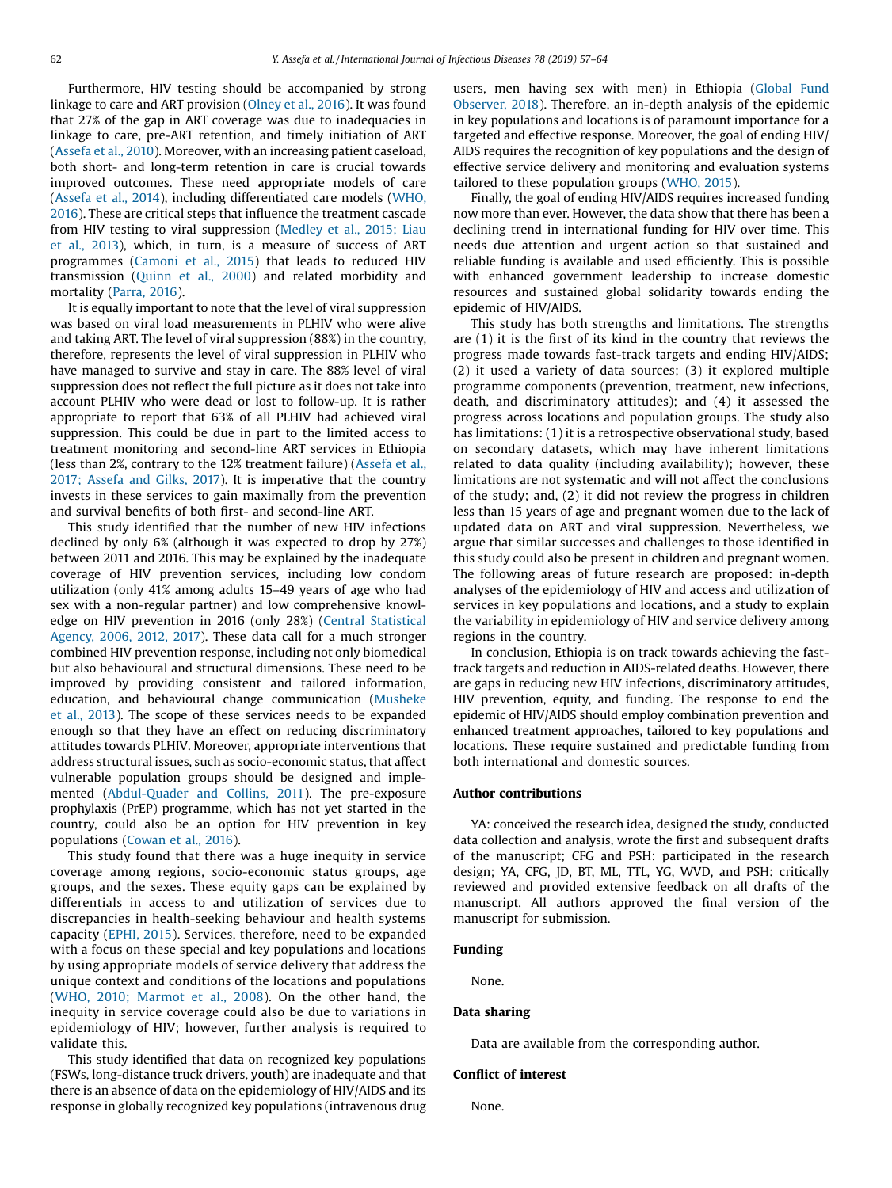Furthermore, HIV testing should be accompanied by strong linkage to care and ART provision ([Olney](#page-6-0) et al., 2016). It was found that 27% of the gap in ART coverage was due to inadequacies in linkage to care, pre-ART retention, and timely initiation of ART ([Assefa](#page-6-0) et al., 2010). Moreover, with an increasing patient caseload, both short- and long-term retention in care is crucial towards improved outcomes. These need appropriate models of care ([Assefa](#page-6-0) et al., 2014), including differentiated care models [\(WHO,](#page-7-0) [2016](#page-7-0)). These are critical steps that influence the treatment cascade from HIV testing to viral suppression [\(Medley](#page-6-0) et al., 2015; Liau et al., [2013\)](#page-6-0), which, in turn, is a measure of success of ART programmes ([Camoni](#page-6-0) et al., 2015) that leads to reduced HIV transmission [\(Quinn](#page-6-0) et al., 2000) and related morbidity and mortality [\(Parra,](#page-6-0) 2016).

It is equally important to note that the level of viral suppression was based on viral load measurements in PLHIV who were alive and taking ART. The level of viral suppression (88%) in the country, therefore, represents the level of viral suppression in PLHIV who have managed to survive and stay in care. The 88% level of viral suppression does not reflect the full picture as it does not take into account PLHIV who were dead or lost to follow-up. It is rather appropriate to report that 63% of all PLHIV had achieved viral suppression. This could be due in part to the limited access to treatment monitoring and second-line ART services in Ethiopia (less than 2%, contrary to the 12% treatment failure) ([Assefa](#page-6-0) et al., 2017; [Assefa](#page-6-0) and Gilks, 2017). It is imperative that the country invests in these services to gain maximally from the prevention and survival benefits of both first- and second-line ART.

This study identified that the number of new HIV infections declined by only 6% (although it was expected to drop by 27%) between 2011 and 2016. This may be explained by the inadequate coverage of HIV prevention services, including low condom utilization (only 41% among adults 15–49 years of age who had sex with a non-regular partner) and low comprehensive knowledge on HIV prevention in 2016 (only 28%) (Central [Statistical](#page-6-0) [Agency,](#page-6-0) 2006, 2012, 2017). These data call for a much stronger combined HIV prevention response, including not only biomedical but also behavioural and structural dimensions. These need to be improved by providing consistent and tailored information, education, and behavioural change communication ([Musheke](#page-6-0) et al., [2013](#page-6-0)). The scope of these services needs to be expanded enough so that they have an effect on reducing discriminatory attitudes towards PLHIV. Moreover, appropriate interventions that address structural issues, such as socio-economic status, that affect vulnerable population groups should be designed and implemented ([Abdul-Quader](#page-6-0) and Collins, 2011). The pre-exposure prophylaxis (PrEP) programme, which has not yet started in the country, could also be an option for HIV prevention in key populations ([Cowan](#page-6-0) et al., 2016).

This study found that there was a huge inequity in service coverage among regions, socio-economic status groups, age groups, and the sexes. These equity gaps can be explained by differentials in access to and utilization of services due to discrepancies in health-seeking behaviour and health systems capacity [\(EPHI,](#page-6-0) 2015). Services, therefore, need to be expanded with a focus on these special and key populations and locations by using appropriate models of service delivery that address the unique context and conditions of the locations and populations (WHO, 2010; [Marmot](#page-7-0) et al., 2008). On the other hand, the inequity in service coverage could also be due to variations in epidemiology of HIV; however, further analysis is required to validate this.

This study identified that data on recognized key populations (FSWs, long-distance truck drivers, youth) are inadequate and that there is an absence of data on the epidemiology of HIV/AIDS and its response in globally recognized key populations (intravenous drug users, men having sex with men) in Ethiopia ([Global](#page-6-0) Fund [Observer,](#page-6-0) 2018). Therefore, an in-depth analysis of the epidemic in key populations and locations is of paramount importance for a targeted and effective response. Moreover, the goal of ending HIV/ AIDS requires the recognition of key populations and the design of effective service delivery and monitoring and evaluation systems tailored to these population groups [\(WHO,](#page-7-0) 2015).

Finally, the goal of ending HIV/AIDS requires increased funding now more than ever. However, the data show that there has been a declining trend in international funding for HIV over time. This needs due attention and urgent action so that sustained and reliable funding is available and used efficiently. This is possible with enhanced government leadership to increase domestic resources and sustained global solidarity towards ending the epidemic of HIV/AIDS.

This study has both strengths and limitations. The strengths are (1) it is the first of its kind in the country that reviews the progress made towards fast-track targets and ending HIV/AIDS; (2) it used a variety of data sources; (3) it explored multiple programme components (prevention, treatment, new infections, death, and discriminatory attitudes); and (4) it assessed the progress across locations and population groups. The study also has limitations: (1) it is a retrospective observational study, based on secondary datasets, which may have inherent limitations related to data quality (including availability); however, these limitations are not systematic and will not affect the conclusions of the study; and, (2) it did not review the progress in children less than 15 years of age and pregnant women due to the lack of updated data on ART and viral suppression. Nevertheless, we argue that similar successes and challenges to those identified in this study could also be present in children and pregnant women. The following areas of future research are proposed: in-depth analyses of the epidemiology of HIV and access and utilization of services in key populations and locations, and a study to explain the variability in epidemiology of HIV and service delivery among regions in the country.

In conclusion, Ethiopia is on track towards achieving the fasttrack targets and reduction in AIDS-related deaths. However, there are gaps in reducing new HIV infections, discriminatory attitudes, HIV prevention, equity, and funding. The response to end the epidemic of HIV/AIDS should employ combination prevention and enhanced treatment approaches, tailored to key populations and locations. These require sustained and predictable funding from both international and domestic sources.

# Author contributions

YA: conceived the research idea, designed the study, conducted data collection and analysis, wrote the first and subsequent drafts of the manuscript; CFG and PSH: participated in the research design; YA, CFG, JD, BT, ML, TTL, YG, WVD, and PSH: critically reviewed and provided extensive feedback on all drafts of the manuscript. All authors approved the final version of the manuscript for submission.

## Funding

None.

#### Data sharing

Data are available from the corresponding author.

### Conflict of interest

None.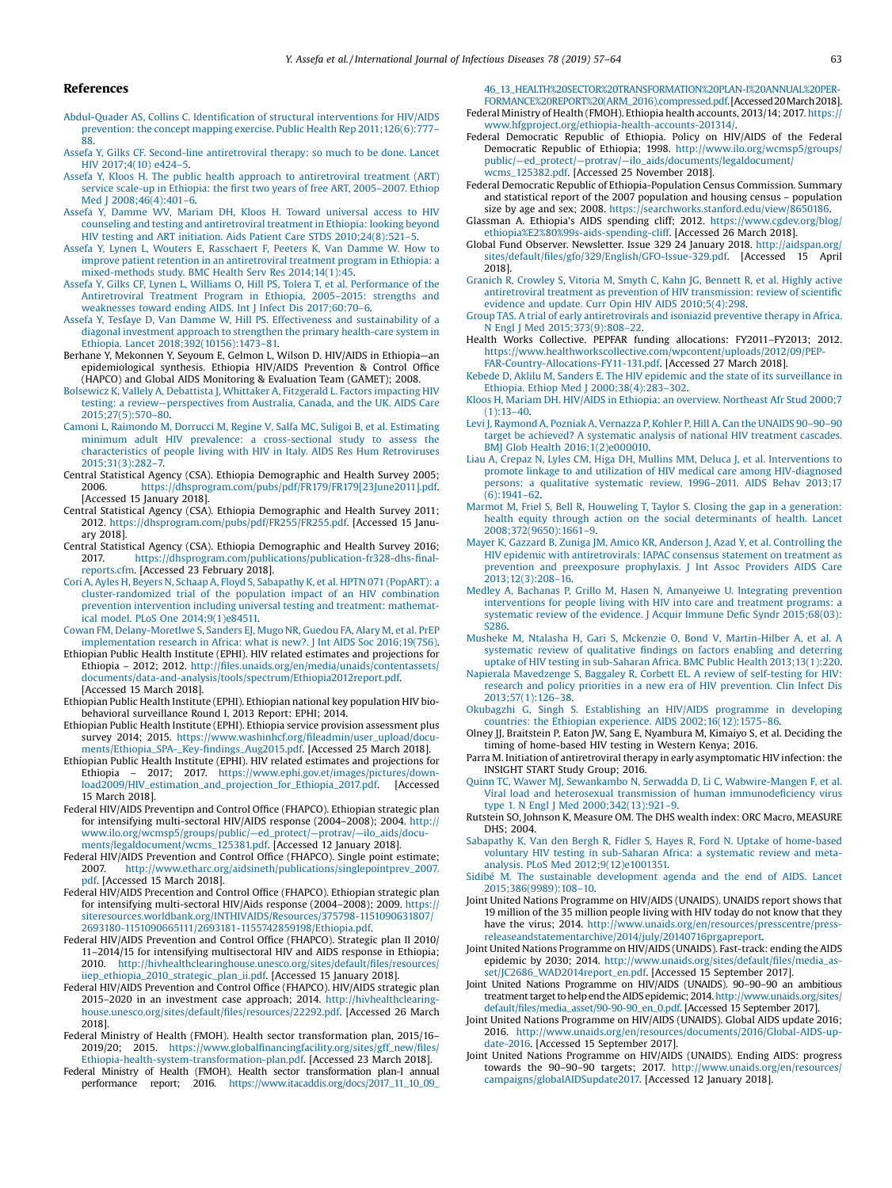#### Y. Assefa et al. / International Journal of Infectious Diseases 78 (2019) 57–64 63

#### <span id="page-6-0"></span>References

- [Abdul-Quader](http://refhub.elsevier.com/S1201-9712(18)34570-3/sbref0005) AS, Collins C. Identification of structural interventions for HIV/AIDS prevention: the concept mapping exercise. Public Health Rep [2011;126\(6\):777](http://refhub.elsevier.com/S1201-9712(18)34570-3/sbref0005)–  $88.$  $88.$
- Assefa Y, Gilks CF. Second-line [antiretroviral](http://refhub.elsevier.com/S1201-9712(18)34570-3/sbref0010) therapy: so much to be done. Lancet HIV [2017;4\(10\)](http://refhub.elsevier.com/S1201-9712(18)34570-3/sbref0010) e424–5.
- Assefa Y, Kloos H. The public health approach to [antiretroviral](http://refhub.elsevier.com/S1201-9712(18)34570-3/sbref0015) treatment (ART) service scale-up in [Ethiopia:](http://refhub.elsevier.com/S1201-9712(18)34570-3/sbref0015) the first two years of free ART, 2005–2007. Ethiop Med J [2008;46\(4\):401](http://refhub.elsevier.com/S1201-9712(18)34570-3/sbref0015)-6.
- Assefa Y, Damme WV, Mariam DH, Kloos H. Toward [universal](http://refhub.elsevier.com/S1201-9712(18)34570-3/sbref0020) access to HIV counseling and testing and [antiretroviral](http://refhub.elsevier.com/S1201-9712(18)34570-3/sbref0020) treatment in Ethiopia: looking beyond HIV testing and ART initiation. Aids Patient Care STDS [2010;24\(8\):521](http://refhub.elsevier.com/S1201-9712(18)34570-3/sbref0020)–5.
- Assefa Y, Lynen L, Wouters E, [Rasschaert](http://refhub.elsevier.com/S1201-9712(18)34570-3/sbref0025) F, Peeters K, Van Damme W. How to improve patient retention in an [antiretroviral](http://refhub.elsevier.com/S1201-9712(18)34570-3/sbref0025) treatment program in Ethiopia: a [mixed-methods](http://refhub.elsevier.com/S1201-9712(18)34570-3/sbref0025) study. BMC Health Serv Res 2014;14(1):45.
- Assefa Y, Gilks CF, Lynen L, Williams O, Hill PS, Tolera T, et al. [Performance](http://refhub.elsevier.com/S1201-9712(18)34570-3/sbref0030) of the [Antiretroviral](http://refhub.elsevier.com/S1201-9712(18)34570-3/sbref0030) Treatment Program in Ethiopia, 2005–2015: strengths and [weaknesses](http://refhub.elsevier.com/S1201-9712(18)34570-3/sbref0030) toward ending AIDS. Int J Infect Dis 2017;60:70–6.
- Assefa Y, Tesfaye D, Van Damme W, Hill PS. Effectiveness and [sustainability](http://refhub.elsevier.com/S1201-9712(18)34570-3/sbref0035) of a diagonal investment approach to strengthen the primary [health-care](http://refhub.elsevier.com/S1201-9712(18)34570-3/sbref0035) system in Ethiopia. Lancet [2018;392\(10156\):1473](http://refhub.elsevier.com/S1201-9712(18)34570-3/sbref0035)–81.
- Berhane Y, Mekonnen Y, Seyoum E, Gelmon L, Wilson D. HIV/AIDS in Ethiopia—an epidemiological synthesis. Ethiopia HIV/AIDS Prevention & Control Office (HAPCO) and Global AIDS Monitoring & Evaluation Team (GAMET); 2008.
- Bolsewicz K, Vallely A, [Debattista](http://refhub.elsevier.com/S1201-9712(18)34570-3/sbref0045) J, Whittaker A, Fitzgerald L. Factors impacting HIV testing: a review—[perspectives](http://refhub.elsevier.com/S1201-9712(18)34570-3/sbref0045) from Australia, Canada, and the UK. AIDS Care [2015;27\(5\):570](http://refhub.elsevier.com/S1201-9712(18)34570-3/sbref0045)–80.
- Camoni L, Raimondo M, Dorrucci M, Regine V, Salfa MC, Suligoi B, et al. [Estimating](http://refhub.elsevier.com/S1201-9712(18)34570-3/sbref0050) minimum adult HIV prevalence: a [cross-sectional](http://refhub.elsevier.com/S1201-9712(18)34570-3/sbref0050) study to assess the [characteristics](http://refhub.elsevier.com/S1201-9712(18)34570-3/sbref0050) of people living with HIV in Italy. AIDS Res Hum Retroviruses [2015;31\(3\):282](http://refhub.elsevier.com/S1201-9712(18)34570-3/sbref0050)–7.
- Central Statistical Agency (CSA). Ethiopia Demographic and Health Survey 2005; 2006. [https://dhsprogram.com/pubs/pdf/FR179/FR179\[23June2011\].pdf](https://dhsprogram.com/pubs/pdf/FR179/FR179[23June2011].pdf). [Accessed 15 January 2018].
- Central Statistical Agency (CSA). Ethiopia Demographic and Health Survey 2011; 2012. [https://dhsprogram.com/pubs/pdf/FR255/FR255.pdf.](https://dhsprogram.com/pubs/pdf/FR255/FR255.pdf) [Accessed 15 January 2018].
- Central Statistical Agency (CSA). Ethiopia Demographic and Health Survey 2016; 2017. [https://dhsprogram.com/publications/publication-fr328-dhs-](https://dhsprogram.com/publications/publication-fr328-dhs-final-reports.cfm)final[reports.cfm.](https://dhsprogram.com/publications/publication-fr328-dhs-final-reports.cfm) [Accessed 23 February 2018].
- Cori A, Ayles H, Beyers N, Schaap A, Floyd S, [Sabapathy](http://refhub.elsevier.com/S1201-9712(18)34570-3/sbref0070) K, et al. HPTN 071 (PopART): a [cluster-randomized](http://refhub.elsevier.com/S1201-9712(18)34570-3/sbref0070) trial of the population impact of an HIV combination prevention [intervention](http://refhub.elsevier.com/S1201-9712(18)34570-3/sbref0070) including universal testing and treatment: mathematical model. PLoS One [2014;9\(1\)e84511.](http://refhub.elsevier.com/S1201-9712(18)34570-3/sbref0070)
- Cowan FM, [Delany-Moretlwe](http://refhub.elsevier.com/S1201-9712(18)34570-3/sbref0075) S, Sanders EJ, Mugo NR, Guedou FA, Alary M, et al. PrEP [implementation](http://refhub.elsevier.com/S1201-9712(18)34570-3/sbref0075) research in Africa: what is new?. J Int AIDS Soc 2016;19(7S6).
- Ethiopian Public Health Institute (EPHI). HIV related estimates and projections for Ethiopia – 2012; 2012. http://fi[les.unaids.org/en/media/unaids/contentassets/](http://files.unaids.org/en/media/unaids/contentassets/documents/data-and-analysis/tools/spectrum/Ethiopia2012report.pdf) [documents/data-and-analysis/tools/spectrum/Ethiopia2012report.pdf.](http://files.unaids.org/en/media/unaids/contentassets/documents/data-and-analysis/tools/spectrum/Ethiopia2012report.pdf) [Accessed 15 March 2018].
- Ethiopian Public Health Institute (EPHI). Ethiopian national key population HIV biobehavioral surveillance Round I, 2013 Report: EPHI; 2014.
- Ethiopian Public Health Institute (EPHI). Ethiopia service provision assessment plus survey 2014; 2015. [https://www.washinhcf.org/](https://www.washinhcf.org/fileadmin/user_upload/documents/Ethiopia_SPA-_Key-findings_Aug2015.pdf)fileadmin/user\_upload/docu[ments/Ethiopia\\_SPA-\\_Key-](https://www.washinhcf.org/fileadmin/user_upload/documents/Ethiopia_SPA-_Key-findings_Aug2015.pdf)findings\_Aug2015.pdf. [Accessed 25 March 2018].
- Ethiopian Public Health Institute (EPHI). HIV related estimates and projections for Ethiopia – 2017; 2017. [https://www.ephi.gov.et/images/pictures/down](https://www.ephi.gov.et/images/pictures/download2009/HIV_estimation_and_projection_for_Ethiopia_2017.pdf)[load2009/HIV\\_estimation\\_and\\_projection\\_for\\_Ethiopia\\_2017.pdf.](https://www.ephi.gov.et/images/pictures/download2009/HIV_estimation_and_projection_for_Ethiopia_2017.pdf) [Accessed 15 March 2018].
- Federal HIV/AIDS Preventipn and Control Office (FHAPCO). Ethiopian strategic plan for intensifying multi-sectoral HIV/AIDS response (2004–2008); 2004. [http://](http://www.ilo.org/wcmsp5/groups/public/---ed_protect/---protrav/---ilo_aids/documents/legaldocument/wcms_125381.pdf) [www.ilo.org/wcmsp5/groups/public/](http://www.ilo.org/wcmsp5/groups/public/---ed_protect/---protrav/---ilo_aids/documents/legaldocument/wcms_125381.pdf)—ed\_protect/—protrav/—ilo\_aids/docu-[ments/legaldocument/wcms\\_125381.pdf.](http://www.ilo.org/wcmsp5/groups/public/---ed_protect/---protrav/---ilo_aids/documents/legaldocument/wcms_125381.pdf) [Accessed 12 January 2018].
- Federal HIV/AIDS Prevention and Control Office (FHAPCO). Single point estimate; 2007. [http://www.etharc.org/aidsineth/publications/singlepointprev\\_2007.](http://www.etharc.org/aidsineth/publications/singlepointprev_2007.pdf) [pdf.](http://www.etharc.org/aidsineth/publications/singlepointprev_2007.pdf) [Accessed 15 March 2018].
- Federal HIV/AIDS Precention and Control Office (FHAPCO). Ethiopian strategic plan for intensifying multi-sectoral HIV/Aids response (2004–2008); 2009. [https://](https://siteresources.worldbank.org/INTHIVAIDS/Resources/375798-1151090631807/2693180-1151090665111/2693181-1155742859198/Ethiopia.pdf) [siteresources.worldbank.org/INTHIVAIDS/Resources/375798-1151090631807/](https://siteresources.worldbank.org/INTHIVAIDS/Resources/375798-1151090631807/2693180-1151090665111/2693181-1155742859198/Ethiopia.pdf) [2693180-1151090665111/2693181-1155742859198/Ethiopia.pdf.](https://siteresources.worldbank.org/INTHIVAIDS/Resources/375798-1151090631807/2693180-1151090665111/2693181-1155742859198/Ethiopia.pdf)
- Federal HIV/AIDS Prevention and Control Office (FHAPCO). Strategic plan II 2010/ 11–2014/15 for intensifying multisectoral HIV and AIDS response in Ethiopia; 2010. [http://hivhealthclearinghouse.unesco.org/sites/default/](http://hivhealthclearinghouse.unesco.org/sites/default/files/resources/iiep_ethiopia_2010_strategic_plan_ii.pdf)files/resources/ [iiep\\_ethiopia\\_2010\\_strategic\\_plan\\_ii.pdf.](http://hivhealthclearinghouse.unesco.org/sites/default/files/resources/iiep_ethiopia_2010_strategic_plan_ii.pdf) [Accessed 15 January 2018].
- Federal HIV/AIDS Prevention and Control Office (FHAPCO). HIV/AIDS strategic plan 2015–2020 in an investment case approach; 2014. [http://hivhealthclearing](http://hivhealthclearinghouse.unesco.org/sites/default/files/resources/22292.pdf)[house.unesco.org/sites/default/](http://hivhealthclearinghouse.unesco.org/sites/default/files/resources/22292.pdf)files/resources/22292.pdf. [Accessed 26 March 2018].
- Federal Ministry of Health (FMOH). Health sector transformation plan, 2015/16– 2019/20; 2015. https://www.globalfi[nancingfacility.org/sites/gff\\_new/](https://www.globalfinancingfacility.org/sites/gff_new/files/Ethiopia-health-system-transformation-plan.pdf)files/ [Ethiopia-health-system-transformation-plan.pdf.](https://www.globalfinancingfacility.org/sites/gff_new/files/Ethiopia-health-system-transformation-plan.pdf) [Accessed 23 March 2018].
- Federal Ministry of Health (FMOH). Health sector transformation plan-I annual performance report; 2016. [https://www.itacaddis.org/docs/2017\\_11\\_10\\_09\\_](https://www.itacaddis.org/docs/2017_11_10_09_46_13_HEALTH%20SECTOR%20TRANSFORMATION%20PLAN-I%20ANNUAL%20PERFORMANCE%20REPORT%20(ARM_2016).compressed.pdf)

[46\\_13\\_HEALTH%20SECTOR%20TRANSFORMATION%20PLAN-I%20ANNUAL%20PER-](https://www.itacaddis.org/docs/2017_11_10_09_46_13_HEALTH%20SECTOR%20TRANSFORMATION%20PLAN-I%20ANNUAL%20PERFORMANCE%20REPORT%20(ARM_2016).compressed.pdf)[FORMANCE%20REPORT%20\(ARM\\_2016\).compressed.pdf.](https://www.itacaddis.org/docs/2017_11_10_09_46_13_HEALTH%20SECTOR%20TRANSFORMATION%20PLAN-I%20ANNUAL%20PERFORMANCE%20REPORT%20(ARM_2016).compressed.pdf) [Accessed20March2018].

- Federal Ministry of Health (FMOH). Ethiopia health accounts, 2013/14; 2017. [https://](https://www.hfgproject.org/ethiopia-health-accounts-201314/) [www.hfgproject.org/ethiopia-health-accounts-201314/.](https://www.hfgproject.org/ethiopia-health-accounts-201314/)
- Federal Democratic Republic of Ethiopia. Policy on HIV/AIDS of the Federal Democratic Republic of Ethiopia; 1998. [http://www.ilo.org/wcmsp5/groups/](http://www.ilo.org/wcmsp5/groups/public/---ed_protect/---protrav/---ilo_aids/documents/legaldocument/wcms_125382.pdf) public/—ed\_protect/—protrav/—[ilo\\_aids/documents/legaldocument/](http://www.ilo.org/wcmsp5/groups/public/---ed_protect/---protrav/---ilo_aids/documents/legaldocument/wcms_125382.pdf) [wcms\\_125382.pdf](http://www.ilo.org/wcmsp5/groups/public/---ed_protect/---protrav/---ilo_aids/documents/legaldocument/wcms_125382.pdf). [Accessed 25 November 2018].
- Federal Democratic Republic of Ethiopia-Population Census Commission. Summary and statistical report of the 2007 population and housing census – population size by age and sex; 2008. [https://searchworks.stanford.edu/view/8650186.](https://searchworks.stanford.edu/view/8650186)
- Glassman A. Ethiopia's AIDS spending cliff; 2012. [https://www.cgdev.org/blog/](https://www.cgdev.org/blog/ethiopia%E2%80%99s-aids-spending-cliff) [ethiopia%E2%80%99s-aids-spending-cliff.](https://www.cgdev.org/blog/ethiopia%E2%80%99s-aids-spending-cliff) [Accessed 26 March 2018].
- Global Fund Observer. Newsletter. Issue 329 24 January 2018. [http://aidspan.org/](http://aidspan.org/sites/default/files/gfo/329/English/GFO-Issue-329.pdf) sites/default/fi[les/gfo/329/English/GFO-Issue-329.pdf.](http://aidspan.org/sites/default/files/gfo/329/English/GFO-Issue-329.pdf) [Accessed 15 April 2018].
- Granich R, [Crowley](http://refhub.elsevier.com/S1201-9712(18)34570-3/sbref0160) S, Vitoria M, Smyth C, Kahn JG, Bennett R, et al. Highly active antiretroviral treatment as prevention of HIV [transmission:](http://refhub.elsevier.com/S1201-9712(18)34570-3/sbref0160) review of scientific evidence and update. Curr Opin HIV AIDS [2010;5\(4\):298.](http://refhub.elsevier.com/S1201-9712(18)34570-3/sbref0160)
- Group TAS. A trial of early [antiretrovirals](http://refhub.elsevier.com/S1201-9712(18)34570-3/sbref0165) and isoniazid preventive therapy in Africa. N Engl J Med [2015;373\(9\):808](http://refhub.elsevier.com/S1201-9712(18)34570-3/sbref0165)–22.
- Health Works Collective. PEPFAR funding allocations: FY2011–FY2013; 2012. [https://www.healthworkscollective.com/wpcontent/uploads/2012/09/PEP-](https://www.healthworkscollective.com/wpcontent/uploads/2012/09/PEPFAR-Country-Allocations-FY11-131.pdf)[FAR-Country-Allocations-FY11-131.pdf.](https://www.healthworkscollective.com/wpcontent/uploads/2012/09/PEPFAR-Country-Allocations-FY11-131.pdf) [Accessed 27 March 2018].
- Kebede D, Aklilu M, Sanders E. The HIV epidemic and the state of its [surveillance](http://refhub.elsevier.com/S1201-9712(18)34570-3/sbref0175) in Ethiopia. Ethiop Med J [2000;38\(4\):283](http://refhub.elsevier.com/S1201-9712(18)34570-3/sbref0175)–302.
- Kloos H, Mariam DH. HIV/AIDS in Ethiopia: an overview. [Northeast](http://refhub.elsevier.com/S1201-9712(18)34570-3/sbref0180) Afr Stud 2000;7  $(1):13-40.$  $(1):13-40.$
- Levi J, [Raymond](http://refhub.elsevier.com/S1201-9712(18)34570-3/sbref0185) A, Pozniak A, Vernazza P, Kohler P, Hill A. Can the UNAIDS 90–90–90 target be achieved? A [systematic](http://refhub.elsevier.com/S1201-9712(18)34570-3/sbref0185) analysis of national HIV treatment cascades. BMJ Glob Health [2016;1\(2\)e000010](http://refhub.elsevier.com/S1201-9712(18)34570-3/sbref0185).
- Liau A, Crepaz N, Lyles CM, Higa DH, Mullins MM, Deluca J, et al. [Interventions](http://refhub.elsevier.com/S1201-9712(18)34570-3/sbref0190) to promote linkage to and utilization of HIV medical care among [HIV-diagnosed](http://refhub.elsevier.com/S1201-9712(18)34570-3/sbref0190) persons: a qualitative [systematic](http://refhub.elsevier.com/S1201-9712(18)34570-3/sbref0190) review, 1996–2011. AIDS Behav 2013;17 [\(6\):1941](http://refhub.elsevier.com/S1201-9712(18)34570-3/sbref0190)–62.
- Marmot M, Friel S, Bell R, Houweling T, Taylor S. Closing the gap in a [generation:](http://refhub.elsevier.com/S1201-9712(18)34570-3/sbref0195) health equity through action on the social [determinants](http://refhub.elsevier.com/S1201-9712(18)34570-3/sbref0195) of health. Lancet [2008;372\(9650\):1661](http://refhub.elsevier.com/S1201-9712(18)34570-3/sbref0195)–9.
- Mayer K, Gazzard B, Zuniga JM, Amico KR, Anderson J, Azad Y, et al. [Controlling](http://refhub.elsevier.com/S1201-9712(18)34570-3/sbref0200) the HIV epidemic with [antiretrovirals:](http://refhub.elsevier.com/S1201-9712(18)34570-3/sbref0200) IAPAC consensus statement on treatment as prevention and [preexposure](http://refhub.elsevier.com/S1201-9712(18)34570-3/sbref0200) prophylaxis. J Int Assoc Providers AIDS Care  $2013;12(3):208-16.$  $2013;12(3):208-16.$
- Medley A, Bachanas P, Grillo M, Hasen N, [Amanyeiwe](http://refhub.elsevier.com/S1201-9712(18)34570-3/sbref0205) U. Integrating prevention [interventions](http://refhub.elsevier.com/S1201-9712(18)34570-3/sbref0205) for people living with HIV into care and treatment programs: a systematic review of the evidence. J Acquir Immune Defic Syndr [2015;68\(03\):](http://refhub.elsevier.com/S1201-9712(18)34570-3/sbref0205) [S286](http://refhub.elsevier.com/S1201-9712(18)34570-3/sbref0205).
- Musheke M, Ntalasha H, Gari S, Mckenzie O, Bond V, [Martin-Hilber](http://refhub.elsevier.com/S1201-9712(18)34570-3/sbref0210) A, et al. A [systematic](http://refhub.elsevier.com/S1201-9712(18)34570-3/sbref0210) review of qualitative findings on factors enabling and deterring uptake of HIV testing in sub-Saharan Africa. BMC Public Health [2013;13\(1\):220](http://refhub.elsevier.com/S1201-9712(18)34570-3/sbref0210).
- Napierala [Mavedzenge](http://refhub.elsevier.com/S1201-9712(18)34570-3/sbref0215) S, Baggaley R, Corbett EL. A review of self-testing for HIV: research and policy priorities in a new era of HIV [prevention.](http://refhub.elsevier.com/S1201-9712(18)34570-3/sbref0215) Clin Infect Dis [2013;57\(1\):126](http://refhub.elsevier.com/S1201-9712(18)34570-3/sbref0215)–38.
- Okubagzhi G, Singh S. [Establishing](http://refhub.elsevier.com/S1201-9712(18)34570-3/sbref0220) an HIV/AIDS programme in developing countries: the Ethiopian experience. AIDS [2002;16\(12\):1575](http://refhub.elsevier.com/S1201-9712(18)34570-3/sbref0220)–86.
- Olney JJ, Braitstein P, Eaton JW, Sang E, Nyambura M, Kimaiyo S, et al. Deciding the timing of home-based HIV testing in Western Kenya; 2016.
- Parra M. Initiation of antiretroviral therapy in early asymptomatic HIV infection: the INSIGHT START Study Group; 2016.
- Quinn TC, Wawer MJ, Sewankambo N, Serwadda D, Li C, [Wabwire-Mangen](http://refhub.elsevier.com/S1201-9712(18)34570-3/sbref0235) F, et al. Viral load and heterosexual [transmission](http://refhub.elsevier.com/S1201-9712(18)34570-3/sbref0235) of human immunodeficiency virus type 1. N Engl J Med 2000:342(13):921-9.
- Rutstein SO, Johnson K, Measure OM. The DHS wealth index: ORC Macro, MEASURE DHS; 2004.
- Sabapathy K, Van den Bergh R, Fidler S, Hayes R, Ford N. Uptake of [home-based](http://refhub.elsevier.com/S1201-9712(18)34570-3/sbref0245) voluntary HIV testing in [sub-Saharan](http://refhub.elsevier.com/S1201-9712(18)34570-3/sbref0245) Africa: a systematic review and metaanalysis. PLoS Med [2012;9\(12\)e1001351.](http://refhub.elsevier.com/S1201-9712(18)34570-3/sbref0245)
- Sidibé M. The sustainable [development](http://refhub.elsevier.com/S1201-9712(18)34570-3/sbref0250) agenda and the end of AIDS. Lancet [2015;386\(9989\):108](http://refhub.elsevier.com/S1201-9712(18)34570-3/sbref0250)–10.
- Joint United Nations Programme on HIV/AIDS (UNAIDS). UNAIDS report shows that 19 million of the 35 million people living with HIV today do not know that they have the virus; 2014. [http://www.unaids.org/en/resources/presscentre/press](http://www.unaids.org/en/resources/presscentre/pressreleaseandstatementarchive/2014/july/20140716prgapreport)[releaseandstatementarchive/2014/july/20140716prgapreport.](http://www.unaids.org/en/resources/presscentre/pressreleaseandstatementarchive/2014/july/20140716prgapreport)
- Joint United Nations Programme on HIV/AIDS (UNAIDS). Fast-track: ending the AIDS epidemic by 2030; 2014. [http://www.unaids.org/sites/default/](http://www.unaids.org/sites/default/files/media_asset/JC2686_WAD2014report_en.pdf)files/media\_as[set/JC2686\\_WAD2014report\\_en.pdf](http://www.unaids.org/sites/default/files/media_asset/JC2686_WAD2014report_en.pdf). [Accessed 15 September 2017].
- Joint United Nations Programme on HIV/AIDS (UNAIDS). 90–90–90 an ambitious treatment target to help end the AIDS epidemic; 2014. [http://www.unaids.org/sites/](http://www.unaids.org/sites/default/files/media_asset/90-90-90_en_0.pdf) default/fi[les/media\\_asset/90-90-90\\_en\\_0.pdf.](http://www.unaids.org/sites/default/files/media_asset/90-90-90_en_0.pdf) [Accessed 15 September 2017].
- Joint United Nations Programme on HIV/AIDS (UNAIDS). Global AIDS update 2016; 2016. [http://www.unaids.org/en/resources/documents/2016/Global-AIDS-up](http://www.unaids.org/en/resources/documents/2016/Global-AIDS-update-2016)[date-2016](http://www.unaids.org/en/resources/documents/2016/Global-AIDS-update-2016). [Accessed 15 September 2017].
- Joint United Nations Programme on HIV/AIDS (UNAIDS). Ending AIDS: progress towards the 90–90–90 targets; 2017. [http://www.unaids.org/en/resources/](http://www.unaids.org/en/resources/campaigns/globalAIDSupdate2017) [campaigns/globalAIDSupdate2017.](http://www.unaids.org/en/resources/campaigns/globalAIDSupdate2017) [Accessed 12 January 2018].